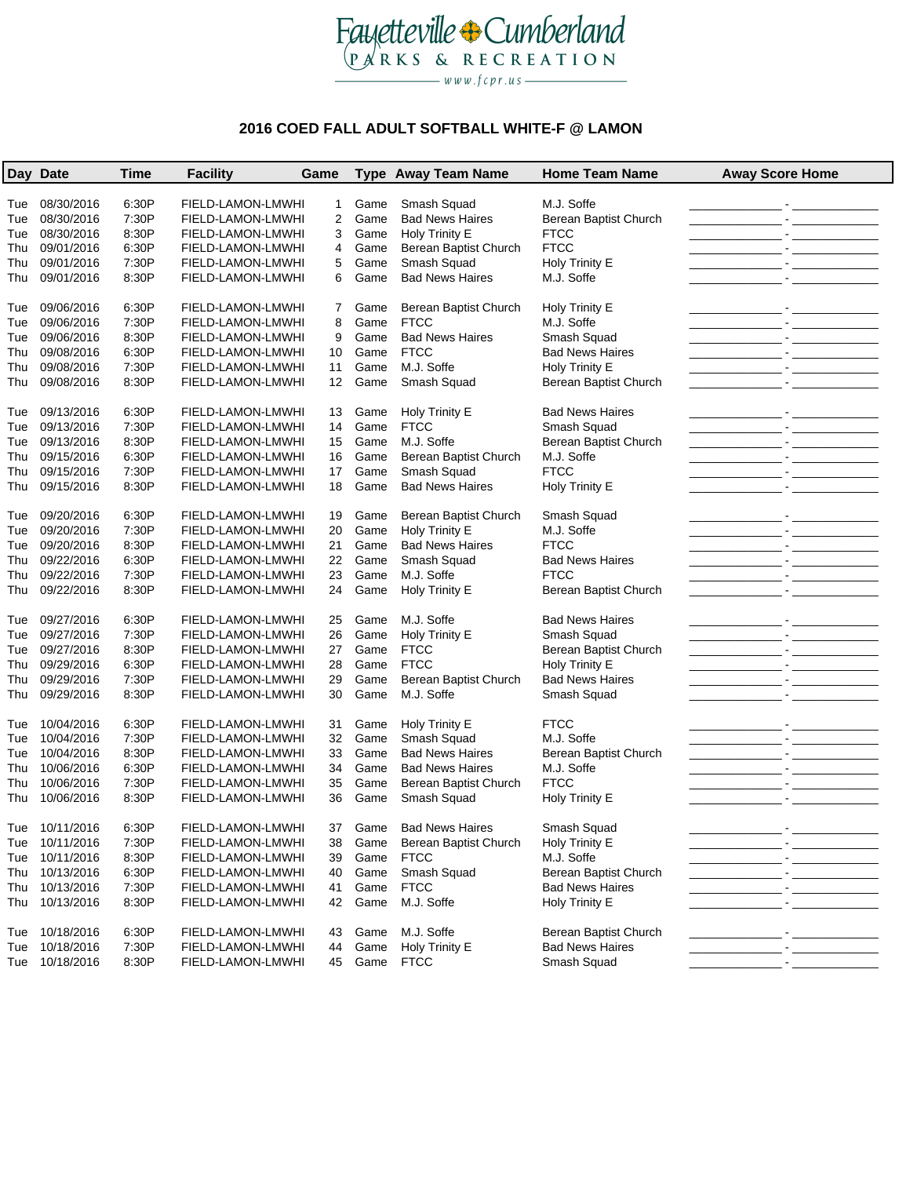

# **2016 COED FALL ADULT SOFTBALL WHITE-F @ LAMON**

|     | Day Date       | <b>Time</b> | <b>Facility</b>   | Game           |      | Type Away Team Name     | <b>Home Team Name</b>  | <b>Away Score Home</b> |
|-----|----------------|-------------|-------------------|----------------|------|-------------------------|------------------------|------------------------|
| Tue | 08/30/2016     | 6:30P       | FIELD-LAMON-LMWHI | $\mathbf{1}$   | Game | Smash Squad             | M.J. Soffe             |                        |
| Tue | 08/30/2016     | 7:30P       | FIELD-LAMON-LMWHI | $\overline{2}$ | Game | <b>Bad News Haires</b>  | Berean Baptist Church  |                        |
| Tue | 08/30/2016     | 8:30P       | FIELD-LAMON-LMWHI | 3              | Game | Holy Trinity E          | <b>FTCC</b>            |                        |
| Thu | 09/01/2016     | 6:30P       | FIELD-LAMON-LMWHI | 4              | Game | Berean Baptist Church   | <b>FTCC</b>            |                        |
| Thu | 09/01/2016     | 7:30P       | FIELD-LAMON-LMWHI | 5              | Game | Smash Squad             | Holy Trinity E         |                        |
| Thu | 09/01/2016     | 8:30P       | FIELD-LAMON-LMWHI | 6              | Game | <b>Bad News Haires</b>  | M.J. Soffe             |                        |
|     |                |             |                   |                |      |                         |                        |                        |
| Tue | 09/06/2016     | 6:30P       | FIELD-LAMON-LMWHI | $7^{\circ}$    | Game | Berean Baptist Church   | Holy Trinity E         |                        |
| Tue | 09/06/2016     | 7:30P       | FIELD-LAMON-LMWHI | 8              | Game | <b>FTCC</b>             | M.J. Soffe             |                        |
| Tue | 09/06/2016     | 8:30P       | FIELD-LAMON-LMWHI | 9              | Game | <b>Bad News Haires</b>  | Smash Squad            |                        |
| Thu | 09/08/2016     | 6:30P       | FIELD-LAMON-LMWHI | 10             | Game | <b>FTCC</b>             | <b>Bad News Haires</b> |                        |
| Thu | 09/08/2016     | 7:30P       | FIELD-LAMON-LMWHI | 11             | Game | M.J. Soffe              | Holy Trinity E         |                        |
| Thu | 09/08/2016     | 8:30P       | FIELD-LAMON-LMWHI | 12             | Game | Smash Squad             | Berean Baptist Church  |                        |
| Tue | 09/13/2016     | 6:30P       | FIELD-LAMON-LMWHI | 13             | Game | Holy Trinity E          | <b>Bad News Haires</b> |                        |
| Tue | 09/13/2016     | 7:30P       | FIELD-LAMON-LMWHI | 14             | Game | <b>FTCC</b>             | Smash Squad            |                        |
| Tue | 09/13/2016     | 8:30P       | FIELD-LAMON-LMWHI | 15             | Game | M.J. Soffe              | Berean Baptist Church  |                        |
| Thu | 09/15/2016     | 6:30P       | FIELD-LAMON-LMWHI | 16             | Game | Berean Baptist Church   | M.J. Soffe             |                        |
| Thu | 09/15/2016     | 7:30P       | FIELD-LAMON-LMWHI | 17             | Game | Smash Squad             | <b>FTCC</b>            |                        |
| Thu | 09/15/2016     | 8:30P       | FIELD-LAMON-LMWHI | 18             | Game | <b>Bad News Haires</b>  | Holy Trinity E         |                        |
|     |                |             |                   |                |      |                         |                        |                        |
| Tue | 09/20/2016     | 6:30P       | FIELD-LAMON-LMWHI | 19             | Game | Berean Baptist Church   | Smash Squad            |                        |
| Tue | 09/20/2016     | 7:30P       | FIELD-LAMON-LMWHI | 20             | Game | Holy Trinity E          | M.J. Soffe             |                        |
| Tue | 09/20/2016     | 8:30P       | FIELD-LAMON-LMWHI | 21             | Game | <b>Bad News Haires</b>  | <b>FTCC</b>            |                        |
| Thu | 09/22/2016     | 6:30P       | FIELD-LAMON-LMWHI | 22             | Game | Smash Squad             | <b>Bad News Haires</b> |                        |
| Thu | 09/22/2016     | 7:30P       | FIELD-LAMON-LMWHI | 23             | Game | M.J. Soffe              | <b>FTCC</b>            |                        |
| Thu | 09/22/2016     | 8:30P       | FIELD-LAMON-LMWHI | 24             | Game | Holy Trinity E          | Berean Baptist Church  |                        |
| Tue | 09/27/2016     | 6:30P       | FIELD-LAMON-LMWHI | 25             | Game | M.J. Soffe              | <b>Bad News Haires</b> |                        |
| Tue | 09/27/2016     | 7:30P       | FIELD-LAMON-LMWHI | 26             | Game | Holy Trinity E          | Smash Squad            |                        |
| Tue | 09/27/2016     | 8:30P       | FIELD-LAMON-LMWHI | 27             | Game | <b>FTCC</b>             | Berean Baptist Church  |                        |
| Thu | 09/29/2016     | 6:30P       | FIELD-LAMON-LMWHI | 28             | Game | <b>FTCC</b>             | Holy Trinity E         |                        |
| Thu | 09/29/2016     | 7:30P       | FIELD-LAMON-LMWHI | 29             | Game | Berean Baptist Church   | <b>Bad News Haires</b> |                        |
| Thu | 09/29/2016     | 8:30P       | FIELD-LAMON-LMWHI | 30             | Game | M.J. Soffe              | Smash Squad            |                        |
|     |                |             |                   |                |      |                         |                        |                        |
| Tue | 10/04/2016     | 6:30P       | FIELD-LAMON-LMWHI | 31             | Game | Holy Trinity E          | <b>FTCC</b>            |                        |
| Tue | 10/04/2016     | 7:30P       | FIELD-LAMON-LMWHI | 32             | Game | Smash Squad             | M.J. Soffe             |                        |
| Tue | 10/04/2016     | 8:30P       | FIELD-LAMON-LMWHI | 33             | Game | <b>Bad News Haires</b>  | Berean Baptist Church  |                        |
| Thu | 10/06/2016     | 6:30P       | FIELD-LAMON-LMWHI | 34             | Game | <b>Bad News Haires</b>  | M.J. Soffe             |                        |
| Thu | 10/06/2016     | 7:30P       | FIELD-LAMON-LMWHI | 35             | Game | Berean Baptist Church   | <b>FTCC</b>            |                        |
| Thu | 10/06/2016     | 8:30P       | FIELD-LAMON-LMWHI | 36             | Game | Smash Squad             | Holy Trinity E         |                        |
|     | Tue 10/11/2016 | 6:30P       | FIELD-LAMON-LMWHI |                |      | 37 Game Bad News Haires | Smash Squad            |                        |
|     | Tue 10/11/2016 | 7:30P       | FIELD-LAMON-LMWHI | 38             | Game | Berean Baptist Church   | Holy Trinity E         |                        |
| Tue | 10/11/2016     | 8:30P       | FIELD-LAMON-LMWHI | 39             | Game | <b>FTCC</b>             | M.J. Soffe             |                        |
| Thu | 10/13/2016     | 6:30P       | FIELD-LAMON-LMWHI | 40             | Game | Smash Squad             | Berean Baptist Church  |                        |
| Thu | 10/13/2016     | 7:30P       | FIELD-LAMON-LMWHI | 41             | Game | <b>FTCC</b>             | <b>Bad News Haires</b> |                        |
| Thu | 10/13/2016     | 8:30P       | FIELD-LAMON-LMWHI | 42             | Game | M.J. Soffe              | Holy Trinity E         |                        |
|     |                |             |                   |                |      |                         |                        |                        |
| Tue | 10/18/2016     | 6:30P       | FIELD-LAMON-LMWHI | 43             | Game | M.J. Soffe              | Berean Baptist Church  |                        |
| Tue | 10/18/2016     | 7:30P       | FIELD-LAMON-LMWHI | 44             | Game | Holy Trinity E          | <b>Bad News Haires</b> |                        |
| Tue | 10/18/2016     | 8:30P       | FIELD-LAMON-LMWHI | 45             | Game | <b>FTCC</b>             | Smash Squad            |                        |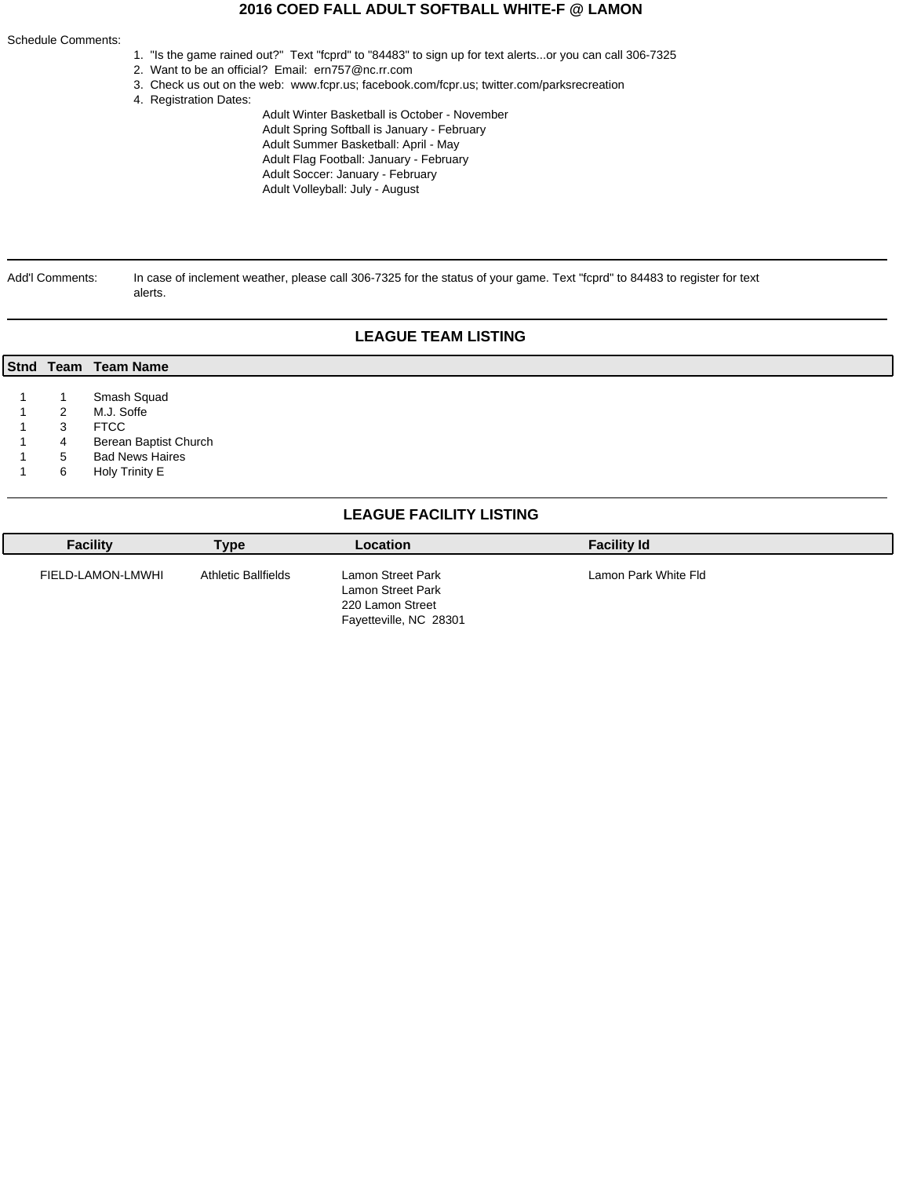### **2016 COED FALL ADULT SOFTBALL WHITE-F @ LAMON**

#### Schedule Comments:

I

- 1. "Is the game rained out?" Text "fcprd" to "84483" to sign up for text alerts...or you can call 306-7325
- 2. Want to be an official? Email: ern757@nc.rr.com
- 3. Check us out on the web: www.fcpr.us; facebook.com/fcpr.us; twitter.com/parksrecreation
- 4. Registration Dates:

 Adult Winter Basketball is October - November Adult Spring Softball is January - February Adult Summer Basketball: April - May Adult Flag Football: January - February Adult Soccer: January - February Adult Volleyball: July - August

Add'l Comments: In case of inclement weather, please call 306-7325 for the status of your game. Text "fcprd" to 84483 to register for text alerts.

### **LEAGUE TEAM LISTING**

|   | <b>Stnd Team Team Name</b> |
|---|----------------------------|
|   |                            |
|   | Smash Squad                |
| 2 | M.J. Soffe                 |
| 3 | <b>FTCC</b>                |
| 4 | Berean Baptist Church      |
| 5 | <b>Bad News Haires</b>     |
| 6 | Holy Trinity E             |
|   |                            |

## **LEAGUE FACILITY LISTING**

| <b>Facility</b>   | <b>Type</b>                |                                                                                             | <b>Facility Id</b>   |  |  |  |
|-------------------|----------------------------|---------------------------------------------------------------------------------------------|----------------------|--|--|--|
| FIELD-LAMON-LMWHI | <b>Athletic Ballfields</b> | Lamon Street Park<br><b>Lamon Street Park</b><br>220 Lamon Street<br>Fayetteville, NC 28301 | Lamon Park White Fld |  |  |  |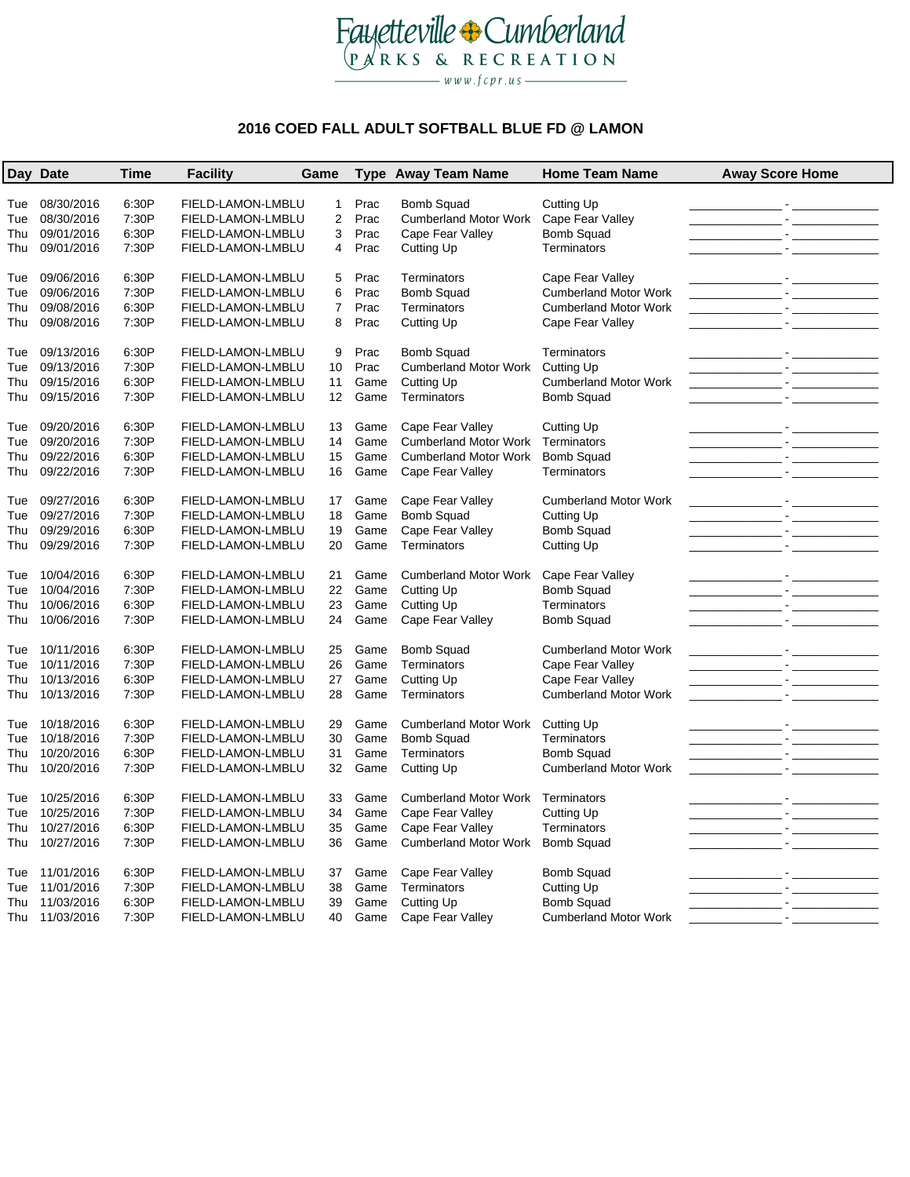

# **2016 COED FALL ADULT SOFTBALL BLUE FD @ LAMON**

| Day        | <b>Date</b>              | <b>Time</b>    | <b>Facility</b>                        | Game           |              | <b>Type Away Team Name</b>                 | <b>Home Team Name</b>          | <b>Away Score Home</b>                                       |
|------------|--------------------------|----------------|----------------------------------------|----------------|--------------|--------------------------------------------|--------------------------------|--------------------------------------------------------------|
|            | 08/30/2016               | 6:30P          |                                        | $\mathbf{1}$   | Prac         |                                            |                                |                                                              |
| Tue<br>Tue | 08/30/2016               | 7:30P          | FIELD-LAMON-LMBLU<br>FIELD-LAMON-LMBLU | 2              | Prac         | Bomb Squad<br><b>Cumberland Motor Work</b> | Cutting Up<br>Cape Fear Valley |                                                              |
| Thu        | 09/01/2016               | 6:30P          | FIELD-LAMON-LMBLU                      | 3              | Prac         | Cape Fear Valley                           | Bomb Squad                     |                                                              |
| Thu        | 09/01/2016               | 7:30P          | FIELD-LAMON-LMBLU                      | 4              | Prac         | <b>Cutting Up</b>                          | Terminators                    |                                                              |
|            |                          |                |                                        |                |              |                                            |                                |                                                              |
| Tue        | 09/06/2016               | 6:30P          | FIELD-LAMON-LMBLU                      | 5              | Prac         | Terminators                                | Cape Fear Valley               |                                                              |
| Tue        | 09/06/2016               | 7:30P          | FIELD-LAMON-LMBLU                      | 6              | Prac         | <b>Bomb Squad</b>                          | <b>Cumberland Motor Work</b>   |                                                              |
| Thu        | 09/08/2016               | 6:30P          | FIELD-LAMON-LMBLU                      | $\overline{7}$ | Prac         | Terminators                                | <b>Cumberland Motor Work</b>   |                                                              |
| Thu        | 09/08/2016               | 7:30P          | FIELD-LAMON-LMBLU                      | 8              | Prac         | Cutting Up                                 | Cape Fear Valley               |                                                              |
|            |                          |                |                                        |                |              |                                            |                                |                                                              |
| Tue        | 09/13/2016               | 6:30P          | FIELD-LAMON-LMBLU                      | 9              | Prac         | Bomb Squad                                 | Terminators                    |                                                              |
| Tue        | 09/13/2016               | 7:30P          | FIELD-LAMON-LMBLU                      | 10             | Prac         | <b>Cumberland Motor Work</b>               | <b>Cutting Up</b>              |                                                              |
| Thu        | 09/15/2016               | 6:30P          | FIELD-LAMON-LMBLU                      | 11             | Game         | <b>Cutting Up</b>                          | <b>Cumberland Motor Work</b>   |                                                              |
| Thu        | 09/15/2016               | 7:30P          | FIELD-LAMON-LMBLU                      | 12             | Game         | Terminators                                | <b>Bomb Squad</b>              |                                                              |
| Tue        | 09/20/2016               | 6:30P          | FIELD-LAMON-LMBLU                      | 13             | Game         | Cape Fear Valley                           | Cutting Up                     | $  -$                                                        |
| Tue        | 09/20/2016               | 7:30P          | FIELD-LAMON-LMBLU                      | 14             | Game         | <b>Cumberland Motor Work</b>               | Terminators                    |                                                              |
| Thu        | 09/22/2016               | 6:30P          | FIELD-LAMON-LMBLU                      | 15             | Game         | <b>Cumberland Motor Work</b>               | <b>Bomb Squad</b>              |                                                              |
| Thu        | 09/22/2016               | 7:30P          | FIELD-LAMON-LMBLU                      | 16             | Game         | Cape Fear Valley                           | Terminators                    |                                                              |
|            |                          |                |                                        |                |              |                                            |                                |                                                              |
| Tue        | 09/27/2016               | 6:30P          | FIELD-LAMON-LMBLU                      | 17             | Game         | Cape Fear Valley                           | <b>Cumberland Motor Work</b>   |                                                              |
| Tue        | 09/27/2016               | 7:30P          | FIELD-LAMON-LMBLU                      | 18             | Game         | <b>Bomb Squad</b>                          | Cutting Up                     |                                                              |
| Thu        | 09/29/2016               | 6:30P          | FIELD-LAMON-LMBLU                      | 19             | Game         | Cape Fear Valley                           | <b>Bomb Squad</b>              |                                                              |
| Thu        | 09/29/2016               | 7:30P          | FIELD-LAMON-LMBLU                      | 20             | Game         | Terminators                                | Cutting Up                     |                                                              |
|            |                          |                |                                        |                |              |                                            |                                |                                                              |
| Tue        | 10/04/2016               | 6:30P          | FIELD-LAMON-LMBLU                      | 21             | Game         | <b>Cumberland Motor Work</b>               | Cape Fear Valley               |                                                              |
| Tue        | 10/04/2016               | 7:30P<br>6:30P | FIELD-LAMON-LMBLU                      | 22             | Game<br>Game | Cutting Up                                 | <b>Bomb Squad</b>              |                                                              |
| Thu<br>Thu | 10/06/2016<br>10/06/2016 | 7:30P          | FIELD-LAMON-LMBLU<br>FIELD-LAMON-LMBLU | 23<br>24       | Game         | Cutting Up<br>Cape Fear Valley             | Terminators<br>Bomb Squad      |                                                              |
|            |                          |                |                                        |                |              |                                            |                                |                                                              |
| Tue        | 10/11/2016               | 6:30P          | FIELD-LAMON-LMBLU                      | 25             | Game         | <b>Bomb Squad</b>                          | <b>Cumberland Motor Work</b>   | <u> 1989 - Johann Barbara, martxa eta idazlea (h. 1989).</u> |
| Tue        | 10/11/2016               | 7:30P          | FIELD-LAMON-LMBLU                      | 26             | Game         | Terminators                                | Cape Fear Valley               |                                                              |
| Thu        | 10/13/2016               | 6:30P          | FIELD-LAMON-LMBLU                      | 27             | Game         | <b>Cutting Up</b>                          | Cape Fear Valley               |                                                              |
| Thu        | 10/13/2016               | 7:30P          | FIELD-LAMON-LMBLU                      | 28             | Game         | Terminators                                | <b>Cumberland Motor Work</b>   |                                                              |
|            |                          |                |                                        |                |              |                                            |                                |                                                              |
| Tue        | 10/18/2016               | 6:30P          | FIELD-LAMON-LMBLU                      | 29             | Game         | <b>Cumberland Motor Work</b>               | Cutting Up                     |                                                              |
| Tue        | 10/18/2016               | 7:30P          | FIELD-LAMON-LMBLU                      | 30             | Game         | <b>Bomb Squad</b>                          | Terminators                    |                                                              |
| Thu        | 10/20/2016               | 6:30P          | FIELD-LAMON-LMBLU                      | 31             | Game         | Terminators                                | <b>Bomb Squad</b>              |                                                              |
| Thu        | 10/20/2016               | 7:30P          | FIELD-LAMON-LMBLU                      | 32             | Game         | Cutting Up                                 | <b>Cumberland Motor Work</b>   |                                                              |
| Tue        | 10/25/2016               | 6:30P          | FIELD-LAMON-LMBLU                      | 33             | Game         | <b>Cumberland Motor Work</b>               | Terminators                    |                                                              |
| Tue        | 10/25/2016               | 7:30P          | FIELD-LAMON-LMBLU                      | 34             | Game         | Cape Fear Valley                           | Cutting Up                     |                                                              |
| Thu        | 10/27/2016               | 6:30P          | FIELD-LAMON-LMBLU                      | 35             | Game         | Cape Fear Valley                           | Terminators                    |                                                              |
| Thu        | 10/27/2016               | 7:30P          | FIELD-LAMON-LMBLU                      | 36             | Game         | <b>Cumberland Motor Work</b>               | <b>Bomb Squad</b>              |                                                              |
|            |                          |                |                                        |                |              |                                            |                                |                                                              |
| Tue        | 11/01/2016               | 6:30P          | FIELD-LAMON-LMBLU                      | 37             | Game         | Cape Fear Valley                           | Bomb Squad                     |                                                              |
| Tue        | 11/01/2016               | 7:30P          | FIELD-LAMON-LMBLU                      | 38             | Game         | Terminators                                | Cutting Up                     |                                                              |
| Thu        | 11/03/2016               | 6:30P          | FIELD-LAMON-LMBLU                      | 39             | Game         | Cutting Up                                 | Bomb Squad                     |                                                              |
|            | Thu 11/03/2016           | 7:30P          | FIELD-LAMON-LMBLU                      | 40             | Game         | Cape Fear Valley                           | <b>Cumberland Motor Work</b>   | _- __                                                        |